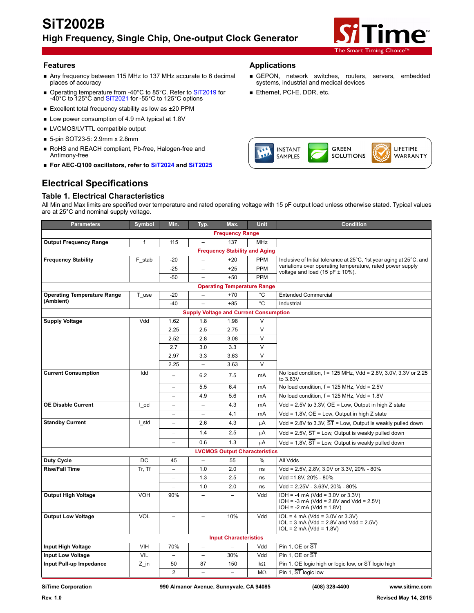

#### **Features Applications**

- Any frequency between 115 MHz to 137 MHz accurate to 6 decimal places of accuracy
- Operating temperature from -40°C to 85°C. Refer to [SiT2019](http://www.sitime.com/products/clock-generators/sit2019) for Ethernet, PCI-E, DDR, etc.<br>-40°C to 125°C and [SiT2021](http://www.sitime.com/products/clock-generators/sit2021) for -55°C to 125°C options
- Excellent total frequency stability as low as ±20 PPM
- Low power consumption of 4.9 mA typical at 1.8V
- **LVCMOS/LVTTL compatible output**
- 5-pin SOT23-5: 2.9mm x 2.8mm
- RoHS and REACH compliant, Pb-free, Halogen-free and Antimony-free
- **For AEC-Q100 oscillators, refer to [SiT2024](http://www.sitime.com/products/high-temp-oscillators/sit2024) and [SiT2025](http://www.sitime.com/products/high-temp-oscillators/sit2025)**

## **Electrical Specifications**

#### **Table 1. Electrical Characteristics**



GEPON, network switches, routers, servers, embedded

systems, industrial and medical devices

All Min and Max limits are specified over temperature and rated operating voltage with 15 pF output load unless otherwise stated. Typical values are at 25°C and nominal supply voltage.

| <b>Parameters</b>                             | Symbol                 | Min.                     | Typ.                     | Max.                                 | <b>Unit</b>             | <b>Condition</b>                                                                                              |  |  |  |
|-----------------------------------------------|------------------------|--------------------------|--------------------------|--------------------------------------|-------------------------|---------------------------------------------------------------------------------------------------------------|--|--|--|
|                                               | <b>Frequency Range</b> |                          |                          |                                      |                         |                                                                                                               |  |  |  |
| <b>Output Frequency Range</b>                 | f                      | 115                      | $\qquad \qquad -$        | 137                                  | <b>MHz</b>              |                                                                                                               |  |  |  |
| <b>Frequency Stability and Aging</b>          |                        |                          |                          |                                      |                         |                                                                                                               |  |  |  |
| <b>Frequency Stability</b>                    | F stab                 | $-20$                    | $\overline{\phantom{0}}$ | $+20$                                | <b>PPM</b>              | Inclusive of Initial tolerance at 25°C, 1st year aging at 25°C, and                                           |  |  |  |
|                                               |                        | $-25$                    |                          | $+25$                                | PPM                     | variations over operating temperature, rated power supply<br>voltage and load $(15 pF \pm 10\%)$ .            |  |  |  |
|                                               |                        | $-50$                    |                          | $+50$                                | <b>PPM</b>              |                                                                                                               |  |  |  |
| <b>Operating Temperature Range</b>            |                        |                          |                          |                                      |                         |                                                                                                               |  |  |  |
| <b>Operating Temperature Range</b>            | T use                  | $-20$                    |                          | $+70$                                | °C                      | <b>Extended Commercial</b>                                                                                    |  |  |  |
| (Ambient)                                     |                        | $-40$                    |                          | $+85$                                | °C                      | Industrial                                                                                                    |  |  |  |
| <b>Supply Voltage and Current Consumption</b> |                        |                          |                          |                                      |                         |                                                                                                               |  |  |  |
| <b>Supply Voltage</b>                         | Vdd                    | 1.62                     | 1.8                      | 1.98                                 | $\vee$                  |                                                                                                               |  |  |  |
|                                               |                        | 2.25                     | 2.5                      | 2.75                                 | $\overline{\mathsf{v}}$ |                                                                                                               |  |  |  |
|                                               |                        | 2.52                     | 2.8                      | 3.08                                 | $\vee$                  |                                                                                                               |  |  |  |
|                                               |                        | 2.7                      | 3.0                      | 3.3                                  | V                       |                                                                                                               |  |  |  |
|                                               |                        | 2.97                     | 3.3                      | 3.63                                 | $\vee$                  |                                                                                                               |  |  |  |
|                                               |                        | 2.25                     | $\overline{\phantom{0}}$ | 3.63                                 | $\overline{\mathsf{v}}$ |                                                                                                               |  |  |  |
| <b>Current Consumption</b>                    | Idd                    | -                        | 6.2                      | 7.5                                  | mA                      | No load condition, f = 125 MHz, Vdd = 2.8V, 3.0V, 3.3V or 2.25<br>to 3.63V                                    |  |  |  |
|                                               |                        | $\overline{\phantom{0}}$ | 5.5                      | 6.4                                  | mA                      | No load condition, $f = 125$ MHz, Vdd = 2.5V                                                                  |  |  |  |
|                                               |                        | -                        | 4.9                      | 5.6                                  | mA                      | No load condition, $f = 125$ MHz, Vdd = $1.8V$                                                                |  |  |  |
| <b>OE Disable Current</b>                     | l od                   | $\overline{\phantom{0}}$ | $\qquad \qquad -$        | 4.3                                  | mA                      | Vdd = $2.5V$ to $3.3V$ , OE = Low, Output in high Z state                                                     |  |  |  |
|                                               |                        | -                        | $\qquad \qquad -$        | 4.1                                  | mA                      | Vdd = 1.8V, OE = Low, Output in high Z state                                                                  |  |  |  |
| <b>Standby Current</b>                        | I std                  | $\overline{\phantom{0}}$ | 2.6                      | 4.3                                  | μA                      | Vdd = 2.8V to 3.3V, $\overline{ST}$ = Low, Output is weakly pulled down                                       |  |  |  |
|                                               |                        | $\overline{\phantom{0}}$ | 1.4                      | 2.5                                  | μA                      | Vdd = $2.5V$ , $\overline{ST}$ = Low, Output is weakly pulled down                                            |  |  |  |
|                                               |                        | -                        | 0.6                      | 1.3                                  | μA                      | Vdd = 1.8V, $\overline{ST}$ = Low, Output is weakly pulled down                                               |  |  |  |
|                                               |                        |                          |                          | <b>LVCMOS Output Characteristics</b> |                         |                                                                                                               |  |  |  |
| Duty Cycle                                    | DC                     | 45                       | $\overline{a}$           | 55                                   | %                       | All Vdds                                                                                                      |  |  |  |
| <b>Rise/Fall Time</b>                         | Tr, Tf                 | L.                       | 1.0                      | 2.0                                  | ns                      | Vdd = 2.5V, 2.8V, 3.0V or 3.3V, 20% - 80%                                                                     |  |  |  |
|                                               |                        | $\equiv$                 | 1.3                      | 2.5                                  | ns                      | Vdd =1.8V, 20% - 80%                                                                                          |  |  |  |
|                                               |                        | $\overline{\phantom{0}}$ | 1.0                      | 2.0                                  | ns                      | Vdd = 2.25V - 3.63V, 20% - 80%                                                                                |  |  |  |
| <b>Output High Voltage</b>                    | VOH                    | 90%                      | $\overline{\phantom{0}}$ | $\equiv$                             | Vdd                     | $IOH = -4 mA (Vdd = 3.0V or 3.3V)$<br>$IOH = -3 mA (Vdd = 2.8V and Vdd = 2.5V)$<br>$IOH = -2 mA (Vdd = 1.8V)$ |  |  |  |
| <b>Output Low Voltage</b>                     | <b>VOL</b>             |                          |                          | 10%                                  | Vdd                     | $IOL = 4 mA (Vdd = 3.0V or 3.3V)$<br>$IOL = 3 mA (Vdd = 2.8V and Vdd = 2.5V)$<br>$IOL = 2 mA (Vdd = 1.8V)$    |  |  |  |
|                                               |                        |                          |                          | <b>Input Characteristics</b>         |                         |                                                                                                               |  |  |  |
| Input High Voltage                            | VIH                    | 70%                      | $\overline{a}$           | $\overline{\phantom{0}}$             | Vdd                     | Pin 1, OE or ST                                                                                               |  |  |  |
| <b>Input Low Voltage</b>                      | VIL                    | $\overline{\phantom{0}}$ | $\overline{\phantom{0}}$ | 30%                                  | Vdd                     | Pin 1, OE or ST                                                                                               |  |  |  |
| Input Pull-up Impedance                       | $Z$ in                 | 50                       | 87                       | 150                                  | $k\Omega$               | Pin 1, OE logic high or logic low, or ST logic high                                                           |  |  |  |
|                                               |                        | $\overline{2}$           | $\overline{a}$           | $\overline{a}$                       | $M\Omega$               | Pin 1, ST logic low                                                                                           |  |  |  |

**SiTime Corporation 990 Almanor Avenue, Sunnyvale, CA 94085 (408) 328-4400 www.sitime.com**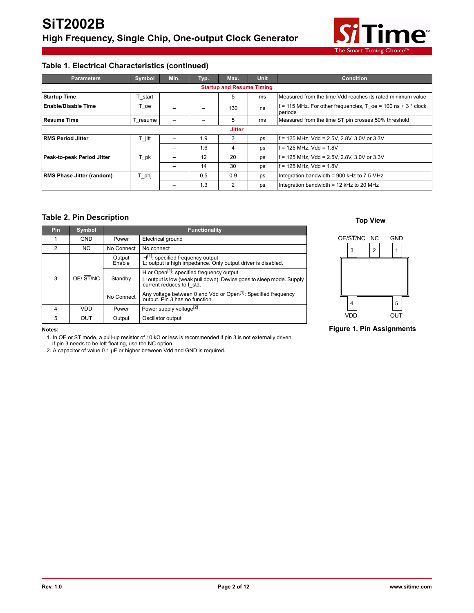

## **Table 1. Electrical Characteristics (continued)**

| <b>Parameters</b>                | Symbol   | Min. | Typ. | Max. | <b>Unit</b> | <b>Condition</b>                                                             |  |  |
|----------------------------------|----------|------|------|------|-------------|------------------------------------------------------------------------------|--|--|
| <b>Startup and Resume Timing</b> |          |      |      |      |             |                                                                              |  |  |
| <b>Startup Time</b>              | T start  |      |      | 5    | ms          | Measured from the time Vdd reaches its rated minimum value                   |  |  |
| <b>Enable/Disable Time</b>       | T oe     |      |      | 130  | ns          | $f = 115$ MHz. For other frequencies, T oe = 100 ns + 3 $*$ clock<br>periods |  |  |
| <b>Resume Time</b>               | T resume |      |      | 5    | ms          | Measured from the time ST pin crosses 50% threshold                          |  |  |
| <b>Jitter</b>                    |          |      |      |      |             |                                                                              |  |  |
| <b>RMS Period Jitter</b>         | $T$ jitt |      | 1.9  | 3    | ps          | $f = 125$ MHz, Vdd = 2.5V, 2.8V, 3.0V or 3.3V                                |  |  |
|                                  |          | -    | 1.6  | 4    | ps          | $f = 125$ MHz. Vdd = 1.8V                                                    |  |  |
| Peak-to-peak Period Jitter       | T pk     |      | 12   | 20   | ps          | f = 125 MHz, Vdd = 2.5V, 2.8V, 3.0V or 3.3V                                  |  |  |
|                                  |          | -    | 14   | 30   | ps          | $f = 125$ MHz, Vdd = 1.8V                                                    |  |  |
| <b>RMS Phase Jitter (random)</b> | T phj    |      | 0.5  | 0.9  | ps          | Integration bandwidth = $900$ kHz to 7.5 MHz                                 |  |  |
|                                  |          |      | 1.3  | 2    | ps          | Integration bandwidth = 12 kHz to 20 MHz                                     |  |  |

#### **Table 2. Pin Description**

| <b>Pin</b> | Symbol         |                          | <b>Functionality</b>                                                                                                                                       |  |  |
|------------|----------------|--------------------------|------------------------------------------------------------------------------------------------------------------------------------------------------------|--|--|
|            | <b>GND</b>     | Power                    | Electrical ground                                                                                                                                          |  |  |
| 2          | N <sub>C</sub> | No Connect<br>No connect |                                                                                                                                                            |  |  |
|            |                | Output<br>Enable         | $H^{[1]}$ : specified frequency output<br>L: output is high impedance. Only output driver is disabled.                                                     |  |  |
| 3          | OE/ST/NC       |                          | H or Open <sup>[1]</sup> : specified frequency output<br>L: output is low (weak pull down). Device goes to sleep mode. Supply<br>current reduces to I std. |  |  |
|            |                | No Connect               | Any voltage between 0 and Vdd or Open <sup>[1]</sup> : Specified frequency<br>output. Pin 3 has no function.                                               |  |  |
| 4          | VDD            | Power                    | Power supply voltage <sup>[2]</sup>                                                                                                                        |  |  |
| 5          | OUT            | Output                   | Oscillator output                                                                                                                                          |  |  |

#### **Top View**



#### **Notes:**

1. In OE or ST mode, a pull-up resistor of 10 kΩ or less is recommended if pin 3 is not externally driven. If pin 3 needs to be left floating, use the NC option.

2. A capacitor of value 0.1 µF or higher between Vdd and GND is required.

#### **Figure 1. Pin Assignments**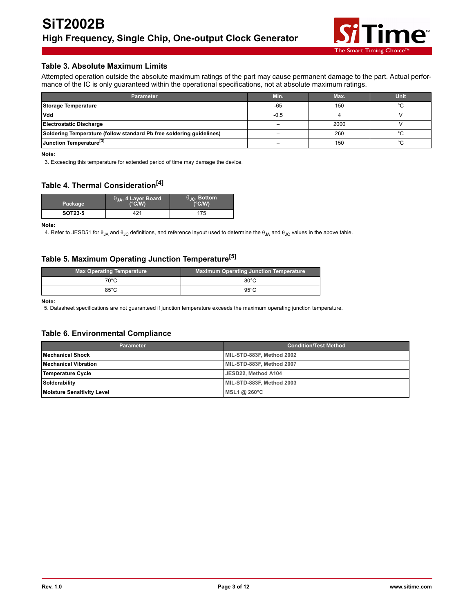

#### **Table 3. Absolute Maximum Limits**

Attempted operation outside the absolute maximum ratings of the part may cause permanent damage to the part. Actual performance of the IC is only guaranteed within the operational specifications, not at absolute maximum ratings.

| <b>Parameter</b>                                                     | Min.   | Max. | Unit    |
|----------------------------------------------------------------------|--------|------|---------|
| Storage Temperature                                                  | $-65$  | 150  | $\circ$ |
| <b>Vdd</b>                                                           | $-0.5$ |      |         |
| <b>Electrostatic Discharge</b>                                       |        | 2000 |         |
| Soldering Temperature (follow standard Pb free soldering guidelines) |        | 260  |         |
| Junction Temperature <sup>[3]</sup>                                  | -      | 150  |         |

**Note:** 

3. Exceeding this temperature for extended period of time may damage the device.

## **Table 4. Thermal Consideration[4]**

| Package        | $\theta_{JA}$ , 4 Layer Board<br>(°C/W) | $\theta_{\text{IC}}$ , Bottom<br>(°C/W) |
|----------------|-----------------------------------------|-----------------------------------------|
| <b>SOT23-5</b> | 421                                     | 175                                     |

**Note:** 

4. Refer to JESD51 for  $\theta_{JA}$  and  $\theta_{JC}$  definitions, and reference layout used to determine the  $\theta_{JA}$  and  $\theta_{JC}$  values in the above table.

## **Table 5. Maximum Operating Junction Temperature[5]**

| <b>Max Operating Temperature</b> | <b>Maximum Operating Junction Temperature</b> |  |  |
|----------------------------------|-----------------------------------------------|--|--|
| $70^{\circ}$ C                   | $80^{\circ}$ C                                |  |  |
| 85°C                             | $95^{\circ}$ C                                |  |  |

**Note:** 

5. Datasheet specifications are not guaranteed if junction temperature exceeds the maximum operating junction temperature.

#### **Table 6. Environmental Compliance**

| <b>Parameter</b>                  | <b>Condition/Test Method</b> |  |  |
|-----------------------------------|------------------------------|--|--|
| Mechanical Shock                  | MIL-STD-883F, Method 2002    |  |  |
| <b>Mechanical Vibration</b>       | MIL-STD-883F, Method 2007    |  |  |
| Temperature Cycle                 | JESD22. Method A104          |  |  |
| Solderability                     | MIL-STD-883F, Method 2003    |  |  |
| <b>Moisture Sensitivity Level</b> | MSL1 @ 260°C                 |  |  |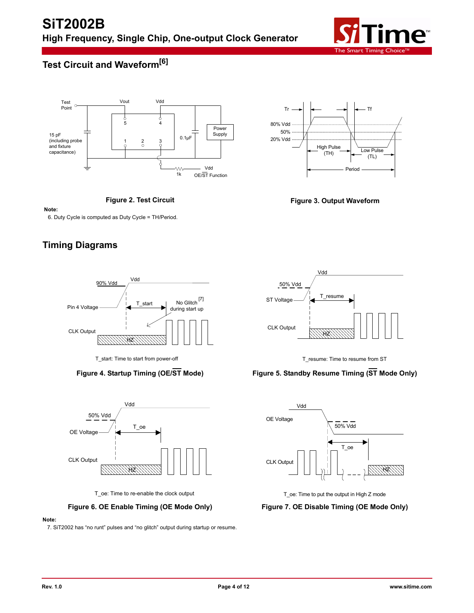

# **Test Circuit and Waveform[6]**



**Figure 2. Test Circuit**





**Note:** 

6. Duty Cycle is computed as Duty Cycle = TH/Period.

## **Timing Diagrams**



T\_start: Time to start from power-off



T\_oe: Time to re-enable the clock output

#### **Figure 6. OE Enable Timing (OE Mode Only) Figure 7. OE Disable Timing (OE Mode Only)**

#### **Note:**

7. SiT2002 has "no runt" pulses and "no glitch" output during startup or resume.



T\_resume: Time to resume from ST

### **Figure 4. Startup Timing (OE/ST Mode) Figure 5. Standby Resume Timing (ST Mode Only)**



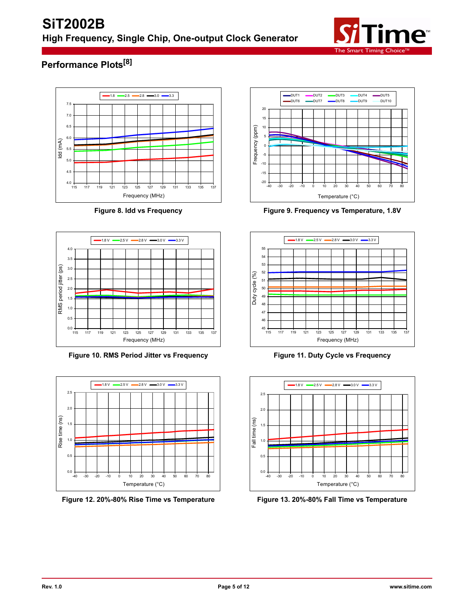

# **Performance Plots[8]**





**Figure 10. RMS Period Jitter vs Frequency Figure 11. Duty Cycle vs Frequency**



**Figure 12. 20%-80% Rise Time vs Temperature Figure 13. 20%-80% Fall Time vs Temperature**



**Figure 8. Idd vs Frequency Figure 9. Frequency vs Temperature, 1.8V**





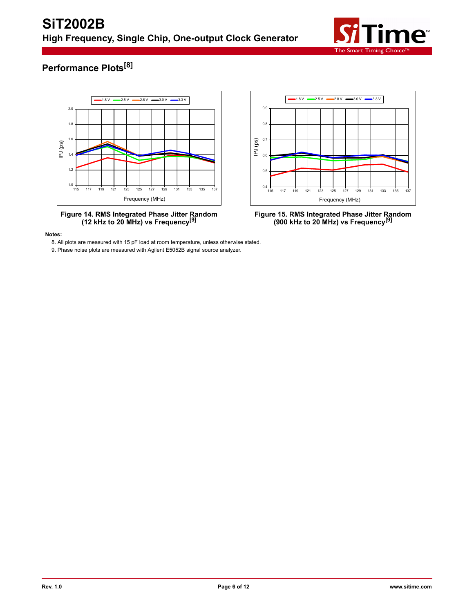

# **Performance Plots[8]**







**(12 kHz to 20 MHz) vs Frequency[9] Figure 15. RMS Integrated Phase Jitter Random (900 kHz to 20 MHz) vs Frequency[9]**

**Notes:** 

8. All plots are measured with 15 pF load at room temperature, unless otherwise stated.

9. Phase noise plots are measured with Agilent E5052B signal source analyzer.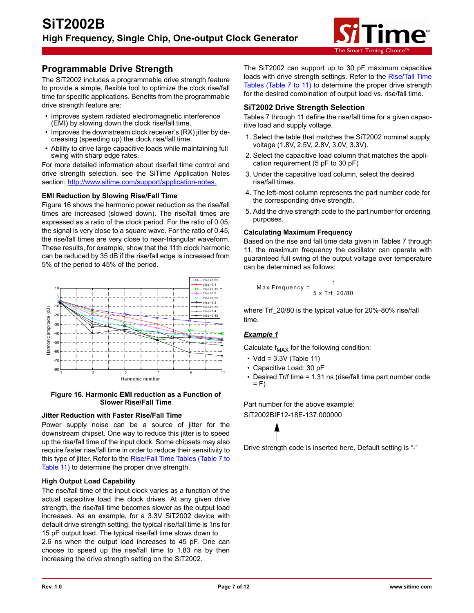

## **Programmable Drive Strength**

The SiT2002 includes a programmable drive strength feature to provide a simple, flexible tool to optimize the clock rise/fall time for specific applications. Benefits from the programmable drive strength feature are:

- Improves system radiated electromagnetic interference (EMI) by slowing down the clock rise/fall time.
- Improves the downstream clock receiver's (RX) jitter by decreasing (speeding up) the clock rise/fall time.
- Ability to drive large capacitive loads while maintaining full swing with sharp edge rates.

For more detailed information about rise/fall time control and drive strength selection, see the SiTime Application Notes section: http://www.sitime.com/support/application-notes.

#### **EMI Reduction by Slowing Rise/Fall Time**

Figure 16 shows the harmonic power reduction as the rise/fall times are increased (slowed down). The rise/fall times are expressed as a ratio of the clock period. For the ratio of 0.05, the signal is very close to a square wave. For the ratio of 0.45, the rise/fall times are very close to near-triangular waveform. These results, for example, show that the 11th clock harmonic can be reduced by 35 dB if the rise/fall edge is increased from 5% of the period to 45% of the period.



#### **Figure 16. Harmonic EMI reduction as a Function of Slower Rise/Fall Time**

#### **Jitter Reduction with Faster Rise/Fall Time**

Power supply noise can be a source of jitter for the downstream chipset. One way to reduce this jitter is to speed up the rise/fall time of the input clock. Some chipsets may also require faster rise/fall time in order to reduce their sensitivity to this type of jitter. Refer to the [Rise/Fall Time Tables \(Table 7 to](#page-7-0) [Table 11\) t](#page-7-0)o determine the proper drive strength.

#### **High Output Load Capability**

The rise/fall time of the input clock varies as a function of the actual capacitive load the clock drives. At any given drive strength, the rise/fall time becomes slower as the output load increases. As an example, for a 3.3V SiT2002 device with default drive strength setting, the typical rise/fall time is 1ns for 15 pF output load. The typical rise/fall time slows down to 2.6 ns when the output load increases to 45 pF. One can choose to speed up the rise/fall time to 1.83 ns by then increasing the drive strength setting on the SiT2002.

The SiT2002 can support up to 30 pF maximum capacitive loads with drive strength settings. Refer to the [Rise/Tall Time](#page-7-0) [Tables \(Table 7 to 11\)](#page-7-0) to determine the proper drive strength for the desired combination of output load vs. rise/fall time.

#### **SiT2002 Drive Strength Selection**

Tables 7 through 11 define the rise/fall time for a given capacitive load and supply voltage.

- 1. Select the table that matches the SiT2002 nominal supply voltage (1.8V, 2.5V, 2.8V, 3.0V, 3.3V).
- 2. Select the capacitive load column that matches the application requirement (5 pF to 30 pF)
- 3. Under the capacitive load column, select the desired rise/fall times.
- 4. The left-most column represents the part number code for the corresponding drive strength.
- 5. Add the drive strength code to the part number for ordering purposes.

#### **Calculating Maximum Frequency**

Based on the rise and fall time data given in Tables 7 through 11, the maximum frequency the oscillator can operate with guaranteed full swing of the output voltage over temperature can be determined as follows:

$$
\text{Max Frequency} = \frac{1}{5 \times \text{Trf}_2 20/80}
$$

where Trf 20/80 is the typical value for 20%-80% rise/fall time.

#### *Example 1*

Calculate  $f_{MAX}$  for the following condition:

- $\cdot$  Vdd = 3.3V (Table 11)
- Capacitive Load: 30 pF
- Desired Tr/f time = 1.31 ns (rise/fall time part number code  $= F$ )

Part number for the above example: SiT2002BI**F**12-18E-137.000000



Drive strength code is inserted here. Default setting is "-"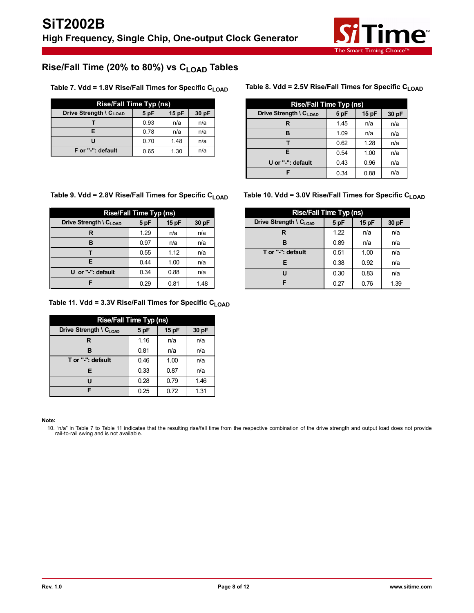

# <span id="page-7-0"></span>Rise/Fall Time (20% to 80%) vs C<sub>LOAD</sub> Tables

Table 7. Vdd = 1.8V Rise/Fall Times for Specific C<sub>LOAD</sub> Table 8. Vdd = 2.5V Rise/Fall Times for Specific C<sub>LOAD</sub>

| Rise/Fall Time Typ (ns)            |      |      |       |  |
|------------------------------------|------|------|-------|--|
| Drive Strength \ C <sub>LOAD</sub> | 5 pF | 15pF | 30 pF |  |
|                                    | 0.93 | n/a  | n/a   |  |
|                                    | 0.78 | n/a  | n/a   |  |
|                                    | 0.70 | 1.48 | n/a   |  |
| F or "-": default                  | 0.65 | 1.30 | n/a   |  |

| <b>Rise/Fall Time Typ (ns)</b>     |      |       |       |  |  |
|------------------------------------|------|-------|-------|--|--|
| Drive Strength \ C <sub>LOAD</sub> | 5 pF | 15 pF | 30 pF |  |  |
| R                                  | 1.45 | n/a   | n/a   |  |  |
| в                                  | 1.09 | n/a   | n/a   |  |  |
|                                    | 0.62 | 1.28  | n/a   |  |  |
| F                                  | 0.54 | 1.00  | n/a   |  |  |
| U or "-": default                  | 0.43 | 0.96  | n/a   |  |  |
|                                    | 0.34 | 0.88  | n/a   |  |  |

#### Table 9. Vdd = 2.8V Rise/Fall Times for Specific C<sub>LOAD</sub> Table 10. Vdd = 3.0V Rise/Fall Times for Specific C<sub>LOAD</sub>

| <b>Rise/Fall Time Typ (ns)</b>     |      |       |       |  |  |
|------------------------------------|------|-------|-------|--|--|
| Drive Strength \ C <sub>LOAD</sub> | 5 pF | 15 pF | 30 pF |  |  |
| R                                  | 1.29 | n/a   | n/a   |  |  |
| в                                  | 0.97 | n/a   | n/a   |  |  |
|                                    | 0.55 | 1.12  | n/a   |  |  |
| Е                                  | 0.44 | 1.00  | n/a   |  |  |
| U or "-": default                  | 0.34 | 0.88  | n/a   |  |  |
|                                    | 0.29 | 0.81  | 1.48  |  |  |

#### Table 11. Vdd = 3.3V Rise/Fall Times for Specific C<sub>LOAD</sub>

| <b>Rise/Fall Time Typ (ns)</b>     |      |      |       |  |  |
|------------------------------------|------|------|-------|--|--|
| Drive Strength \ C <sub>LOAD</sub> | 5 pF | 15pF | 30 pF |  |  |
| R                                  | 1.16 | n/a  | n/a   |  |  |
| в                                  | 0.81 | n/a  | n/a   |  |  |
| T or "-": default                  | 0.46 | 1.00 | n/a   |  |  |
| Е                                  | 0.33 | 0.87 | n/a   |  |  |
| יי                                 | 0.28 | 0.79 | 1.46  |  |  |
| F                                  | 0.25 | 0.72 | 1.31  |  |  |

#### **Note:**

10. "n/a" in Table 7 to Table 11 indicates that the resulting rise/fall time from the respective combination of the drive strength and output load does not provide<br>rail-to-rail swing and is not available.

| <b>Rise/Fall Time Typ (ns)</b>     |      |      |       |  |  |
|------------------------------------|------|------|-------|--|--|
| Drive Strength \ C <sub>LOAD</sub> | 5 pF | 15pF | 30 pF |  |  |
| R                                  | 1.22 | n/a  | n/a   |  |  |
| R                                  | 0.89 | n/a  | n/a   |  |  |
| T or "-": default                  | 0.51 | 1.00 | n/a   |  |  |
| Е                                  | 0.38 | 0.92 | n/a   |  |  |
| п                                  | 0.30 | 0.83 | n/a   |  |  |
| F                                  | 0.27 | 0.76 | 1.39  |  |  |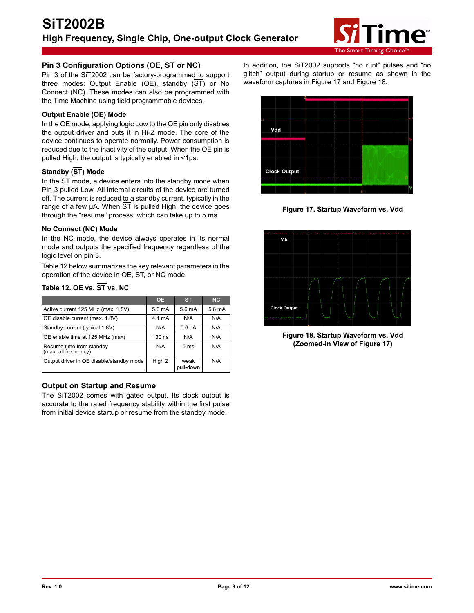

## **Pin 3 Configuration Options (OE, ST or NC)**

Pin 3 of the SiT2002 can be factory-programmed to support three modes: Output Enable (OE), standby (ST) or No Connect (NC). These modes can also be programmed with the Time Machine using field programmable devices.

#### **Output Enable (OE) Mode**

In the OE mode, applying logic Low to the OE pin only disables the output driver and puts it in Hi-Z mode. The core of the device continues to operate normally. Power consumption is reduced due to the inactivity of the output. When the OE pin is pulled High, the output is typically enabled in <1µs.

## **Standby (ST) Mode**

In the  $\overline{ST}$  mode, a device enters into the standby mode when Pin 3 pulled Low. All internal circuits of the device are turned off. The current is reduced to a standby current, typically in the range of a few  $\mu$ A. When  $\overline{ST}$  is pulled High, the device goes through the "resume" process, which can take up to 5 ms.

#### **No Connect (NC) Mode**

In the NC mode, the device always operates in its normal mode and outputs the specified frequency regardless of the logic level on pin 3.

Table 12 below summarizes the key relevant parameters in the operation of the device in OE, ST, or NC mode.

## **Table 12. OE vs. ST vs. NC**

|                                                  | <b>OE</b>        | <b>ST</b>          | <b>NC</b>         |
|--------------------------------------------------|------------------|--------------------|-------------------|
| Active current 125 MHz (max, 1.8V)               | $5.6 \text{ mA}$ | $5.6 \text{ mA}$   | 5.6 <sub>mA</sub> |
| OE disable current (max. 1.8V)                   | $4.1 \text{ mA}$ | N/A                | N/A               |
| Standby current (typical 1.8V)                   | N/A              | 0.6 <sub>u</sub> A | N/A               |
| OE enable time at 125 MHz (max)                  | $130$ ns         | N/A                | N/A               |
| Resume time from standby<br>(max, all frequency) | N/A              | 5 <sub>ms</sub>    | N/A               |
| Output driver in OE disable/standby mode         | High Z           | weak<br>pull-down  | N/A               |

#### **Output on Startup and Resume**

The SiT2002 comes with gated output. Its clock output is accurate to the rated frequency stability within the first pulse from initial device startup or resume from the standby mode.

In addition, the SiT2002 supports "no runt" pulses and "no glitch" output during startup or resume as shown in the waveform captures in Figure 17 and Figure 18.



**Figure 17. Startup Waveform vs. Vdd**



**Figure 18. Startup Waveform vs. Vdd (Zoomed-in View of Figure 17)**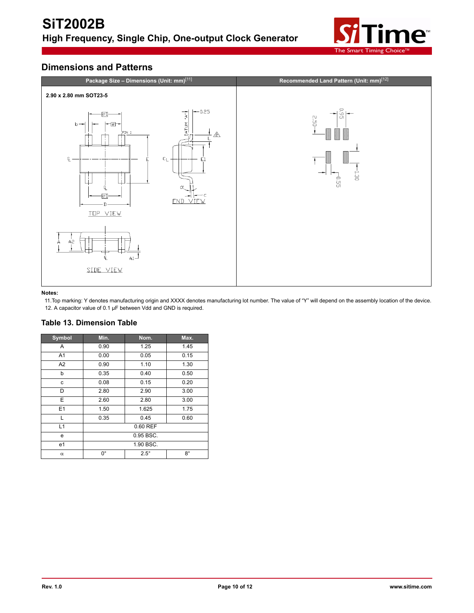

## **Dimensions and Patterns**



#### **Notes:**

11.Top marking: Y denotes manufacturing origin and XXXX denotes manufacturing lot number. The value of "Y" will depend on the assembly location of the device. 12. A capacitor value of 0.1 µF between Vdd and GND is required.

## **Table 13. Dimension Table**

| Symbol         | Min.        | Nom.        | Max.        |
|----------------|-------------|-------------|-------------|
| A              | 0.90        | 1.25        | 1.45        |
| A <sub>1</sub> | 0.00        | 0.05        | 0.15        |
| A2             | 0.90        | 1.10        | 1.30        |
| b              | 0.35        | 0.40        | 0.50        |
| с              | 0.08        | 0.15        | 0.20        |
| D              | 2.80        | 2.90        | 3.00        |
| E              | 2.60        | 2.80        | 3.00        |
| E1             | 1.50        | 1.625       | 1.75        |
|                | 0.35        | 0.45        | 0.60        |
| L1             | 0.60 REF    |             |             |
| e              | 0.95 BSC.   |             |             |
| e1             | 1.90 BSC.   |             |             |
| $\alpha$       | $0^{\circ}$ | $2.5^\circ$ | $8^{\circ}$ |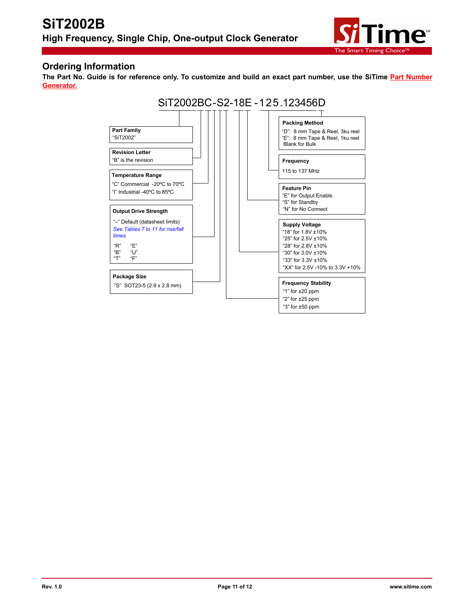

## **Ordering Information**

The Part No. Guide is for reference only. To customize and build an exact part number, use the SiTime **[Part Number](http://www.sitime.com/products/high-temp-oscillators/sit2002#magictabs_MC42h) [Generator.](http://www.sitime.com/products/high-temp-oscillators/sit2002#magictabs_MC42h)**